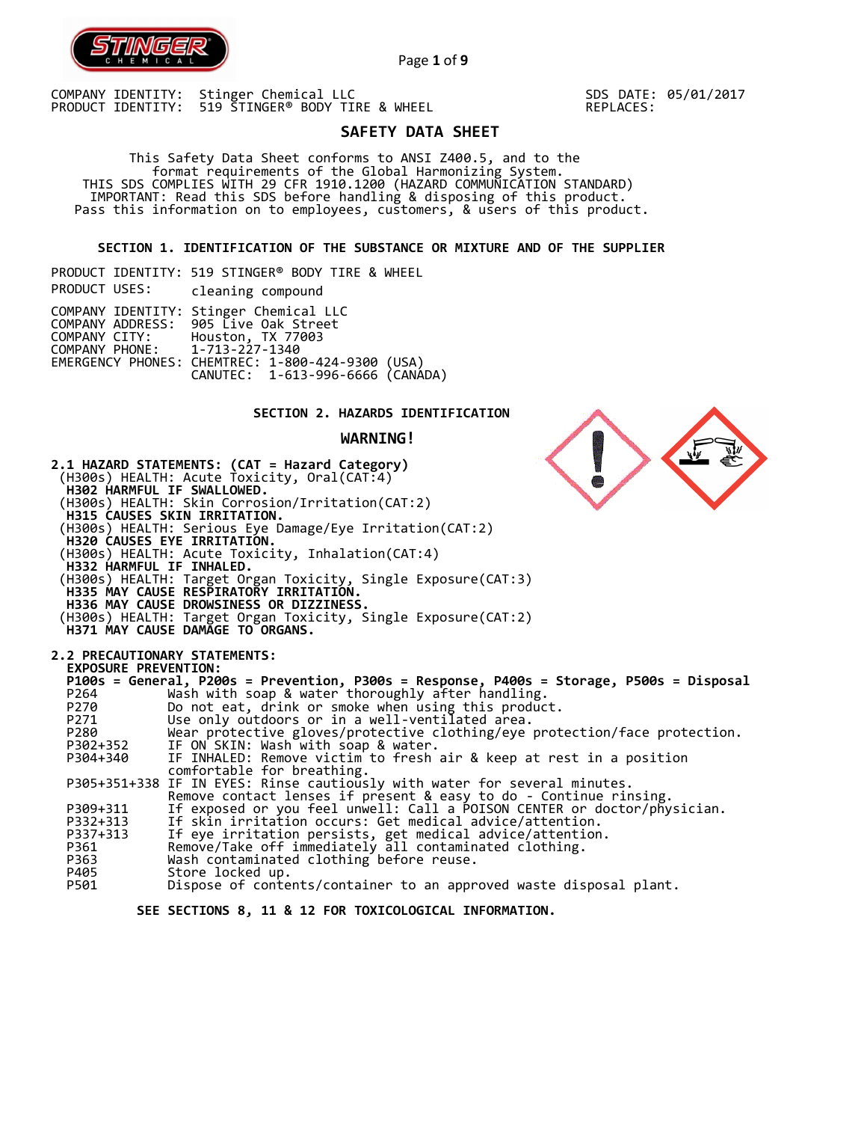

Page **1** of **9**

COMPANY IDENTITY: Stinger Chemical LLC PRODUCT IDENTITY: 519 STINGER® BODY TIRE & WHEEL SDS DATE: 05/01/2017 REPLACES:

# **SAFETY DATA SHEET**

 This Safety Data Sheet conforms to ANSI Z400.5, and to the format requirements of the Global Harmonizing System. THIS SDS COMPLIES WITH 29 CFR 1910.1200 (HAZARD COMMUNICATION STANDARD) IMPORTANT: Read this SDS before handling & disposing of this product. Pass this information on to employees, customers, & users of this product.

**SECTION 1. IDENTIFICATION OF THE SUBSTANCE OR MIXTURE AND OF THE SUPPLIER** 

PRODUCT IDENTITY: 519 STINGER® BODY TIRE & WHEEL PRODUCT USES: cleaning compound COMPANY IDENTITY: Stinger Chemical LLC COMPANY ADDRESS: 905 Live Oak Street COMPANY CITY: Houston, TX 77003 COMPANY PHONE: 1-713-227-1340 EMERGENCY PHONES: CHEMTREC: 1-800-424-9300 (USA) CANUTEC: 1-613-996-6666 (CANADA)

## **SECTION 2. HAZARDS IDENTIFICATION**

**WARNING!**

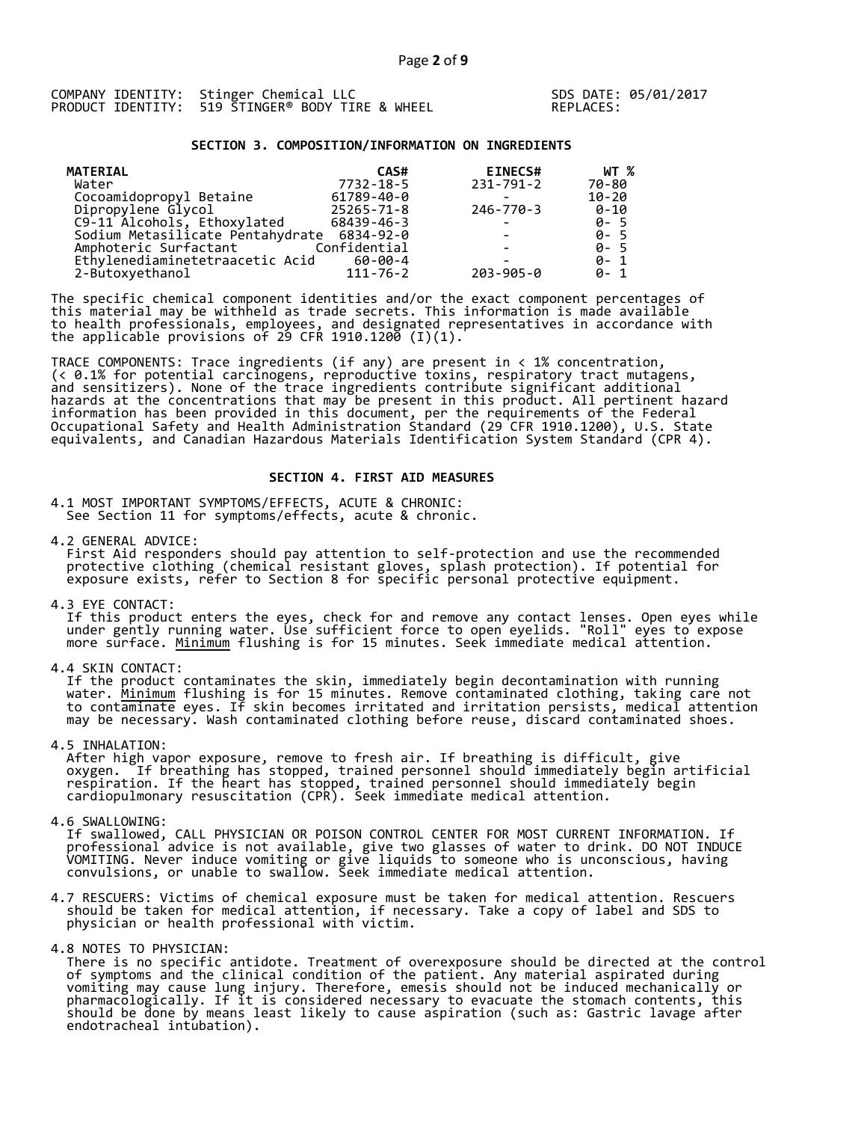|  | COMPANY IDENTITY: Stinger Chemical LLC           |
|--|--------------------------------------------------|
|  | PRODUCT IDENTITY: 519 ŠTINGER® BODY TIRE & WHEEL |

SDS DATE: 05/01/2017 REPLACES:

## **SECTION 3. COMPOSITION/INFORMATION ON INGREDIENTS**

| <b>MATERIAL</b>                  | CAS#           | <b>EINECS#</b>           | WT %      |
|----------------------------------|----------------|--------------------------|-----------|
| Water                            | 7732-18-5      | $231 - 791 - 2$          | 70-80     |
| Cocoamidopropyl Betaine          | 61789-40-0     |                          | $10 - 20$ |
| Dipropylene Glycol               | 25265-71-8     | 246-770-3                | 0-10      |
| C9-11 Alcohols, Ethoxylated      | 68439-46-3     | $\overline{\phantom{0}}$ | $0 - 5$   |
| Sodium Metasilicate Pentahydrate | 6834-92-0      |                          | $0 - 5$   |
| Amphoteric Surfactant            | Confidential   |                          | $0 - 5$   |
| Ethylenediaminetetraacetic Acid  | 60-00-4        |                          | $0 - 1$   |
| 2-Butoxyethanol                  | $111 - 76 - 2$ | $203 - 905 - 0$          | $0 - 1$   |

The specific chemical component identities and/or the exact component percentages of this material may be withheld as trade secrets. This information is made available to health professionals, employees, and designated representatives in accordance with the applicable provisions of 29 CFR 1910.1200̄ (I)(1).  $\overline{\phantom{a}}$ 

TRACE COMPONENTS: Trace ingredients (if any) are present in < 1% concentration, (< 0.1% for potential carcinogens, reproductive toxins, respiratory tract mutagens, and sensitizers). None of the trace ingredients contribute significant additional hazards at the concentrations that may be present in this product. All pertinent hazard information has been provided in this document, per the requirements of the Federal Occupational Safety and Health Administration Standard (29 CFR 1910.1200), U.S. State equivalents, and Canadian Hazardous Materials Identification System Standard (CPR 4).

### **SECTION 4. FIRST AID MEASURES**

4.1 MOST IMPORTANT SYMPTOMS/EFFECTS, ACUTE & CHRONIC: See Section 11 for symptoms/effects, acute & chronic.

4.2 GENERAL ADVICE: First Aid responders should pay attention to self-protection and use the recommended protective clothing (chemical resistant gloves, splash protection). If potential for exposure exists, refer to Section 8 for specific personal protective equipment.

4.3 EYE CONTACT:

 If this product enters the eyes, check for and remove any contact lenses. Open eyes while under gently running water. Use sufficient force to open eyelids. "Roll" eyes to expose more surface. <u>Minimum</u> flushing is for 15 minutes. Seek immediate medical attention.

4.4 SKIN CONTACT:

 If the product contaminates the skin, immediately begin decontamination with running water. <u>Minimum</u> flushing is for 15 minutes. Remove contaminated clothing, taking care not to contaminate eyes. If skin becomes irritated and irritation persists, medical attention may be necessary. Wash contaminated clothing before reuse, discard contaminated shoes.

4.5 INHALATION:

 After high vapor exposure, remove to fresh air. If breathing is difficult, give oxygen. If breathing has stopped, trained personnel should immediately begin artificial respiration. If the heart has stopped, trained personnel should immediately begin cardiopulmonary resuscitation (CPR). Seek immediate medical attention.

4.6 SWALLOWING:

 If swallowed, CALL PHYSICIAN OR POISON CONTROL CENTER FOR MOST CURRENT INFORMATION. If professional advice is not available, give two glasses of water to drink. DO NOT INDUCE VOMITING. Never induce vomiting or give liquids to someone who is unconscious, having convulsions, or unable to swallow. Seek immediate medical attention.

4.7 RESCUERS: Victims of chemical exposure must be taken for medical attention. Rescuers should be taken for medical attention, if necessary. Take a copy of label and SDS to physician or health professional with victim.

4.8 NOTES TO PHYSICIAN:

 There is no specific antidote. Treatment of overexposure should be directed at the control of symptoms and the clinical condition of the patient. Any material aspirated during vomiting may cause lung injury. Therefore, emesis should not be induced mechanically or pharmacologically. If it is considered necessary to evacuate the stomach contents, this should be done by means least likely to cause aspiration (such as: Gastric lavage after endotracheal intubation).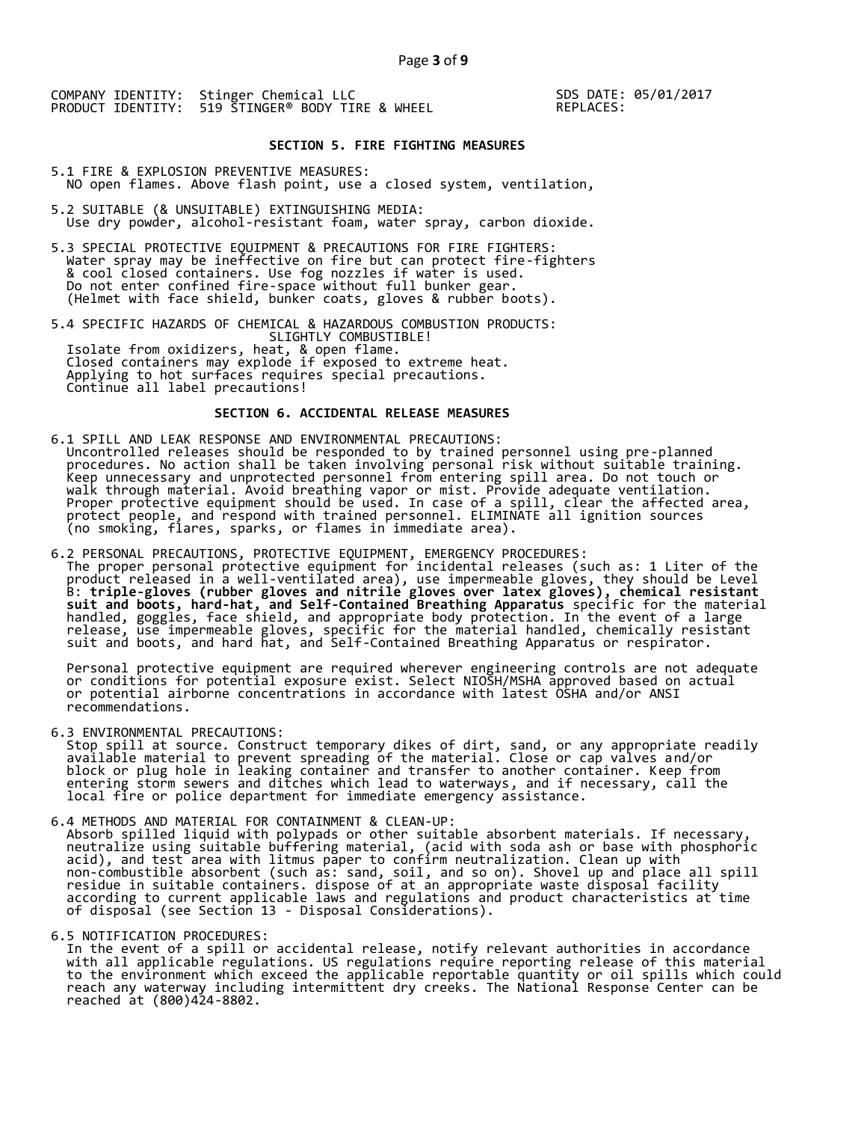SDS DATE: 05/01/2017 REPLACES:

## **SECTION 5. FIRE FIGHTING MEASURES**

5.1 FIRE & EXPLOSION PREVENTIVE MEASURES: NO open flames. Above flash point, use a closed system, ventilation,

- 5.2 SUITABLE (& UNSUITABLE) EXTINGUISHING MEDIA: Use dry powder, alcohol-resistant foam, water spray, carbon dioxide.
- 5.3 SPECIAL PROTECTIVE EQUIPMENT & PRECAUTIONS FOR FIRE FIGHTERS: Water spray may be ineffective on fire but can protect fire-fighters & cool closed containers. Use fog nozzles if water is used. Do not enter confined fire-space without full bunker gear. (Helmet with face shield, bunker coats, gloves & rubber boots).

5.4 SPECIFIC HAZARDS OF CHEMICAL & HAZARDOUS COMBUSTION PRODUCTS: SLIGHTLY COMBUSTIBLE! Isolate from oxidizers, heat, & open flame. Closed containers may explode if exposed to extreme heat. Applying to hot surfaces requires special precautions. Continue all label precautions!

## **SECTION 6. ACCIDENTAL RELEASE MEASURES**

- 6.1 SPILL AND LEAK RESPONSE AND ENVIRONMENTAL PRECAUTIONS: Uncontrolled releases should be responded to by trained personnel using pre-planned procedures. No action shall be taken involving personal risk without suitable training. Keep unnecessary and unprotected personnel from entering spill area. Do not touch or walk through material. Avoid breathing vapor or mist. Provide adequate ventilation. Proper protective equipment should be used. In case of a spill, clear the affected area, protect people, and respond with trained personnel. ELIMINATE all ignition sources (no smoking, flares, sparks, or flames in immediate area).
- 6.2 PERSONAL PRECAUTIONS, PROTECTIVE EQUIPMENT, EMERGENCY PROCEDURES: The proper personal protective equipment for incidental releases (such as: 1 Liter of the product released in a well-ventilated area), use impermeable gloves, they should be Level B: **triple-gloves (rubber gloves and nitrile gloves over latex gloves), chemical resistant suit and boots, hard-hat, and Self-Contained Breathing Apparatus** specific for the material handled, goggles, face shield, and appropriate body protection. In the event of a large release, use impermeable gloves, specific for the material handled, chemically resistant suit and boots, and hard hat, and Self-Contained Breathing Apparatus or respirator.

 Personal protective equipment are required wherever engineering controls are not adequate or conditions for potential exposure exist. Select NIOSH/MSHA approved based on actual or potential airborne concentrations in accordance with latest OSHA and/or ANSI recommendations.

6.3 ENVIRONMENTAL PRECAUTIONS:

 Stop spill at source. Construct temporary dikes of dirt, sand, or any appropriate readily available material to prevent spreading of the material. Close or cap valves and/or block or plug hole in leaking container and transfer to another container. Keep from entering storm sewers and ditches which lead to waterways, and if necessary, call the local fire or police department for immediate emergency assistance.

6.4 METHODS AND MATERIAL FOR CONTAINMENT & CLEAN-UP: Absorb spilled liquid with polypads or other suitable absorbent materials. If necessary, neutralize using suitable buffering material, (acid with soda ash or base with phosphoric acid), and test area with litmus paper to confirm neutralization. Clean up with non-combustible absorbent (such as: sand, soil, and so on). Shovel up and place all spill residue in suitable containers. dispose of at an appropriate waste disposal facility according to current applicable laws and regulations and product characteristics at time of disposal (see Section 13 - Disposal Considerations).

6.5 NOTIFICATION PROCEDURES:

 In the event of a spill or accidental release, notify relevant authorities in accordance with all applicable regulations. US regulations require reporting release of this material to the environment which exceed the applicable reportable quantity or oil spills which could reach any waterway including intermittent dry creeks. The National Response Center can be reached at (800)424-8802.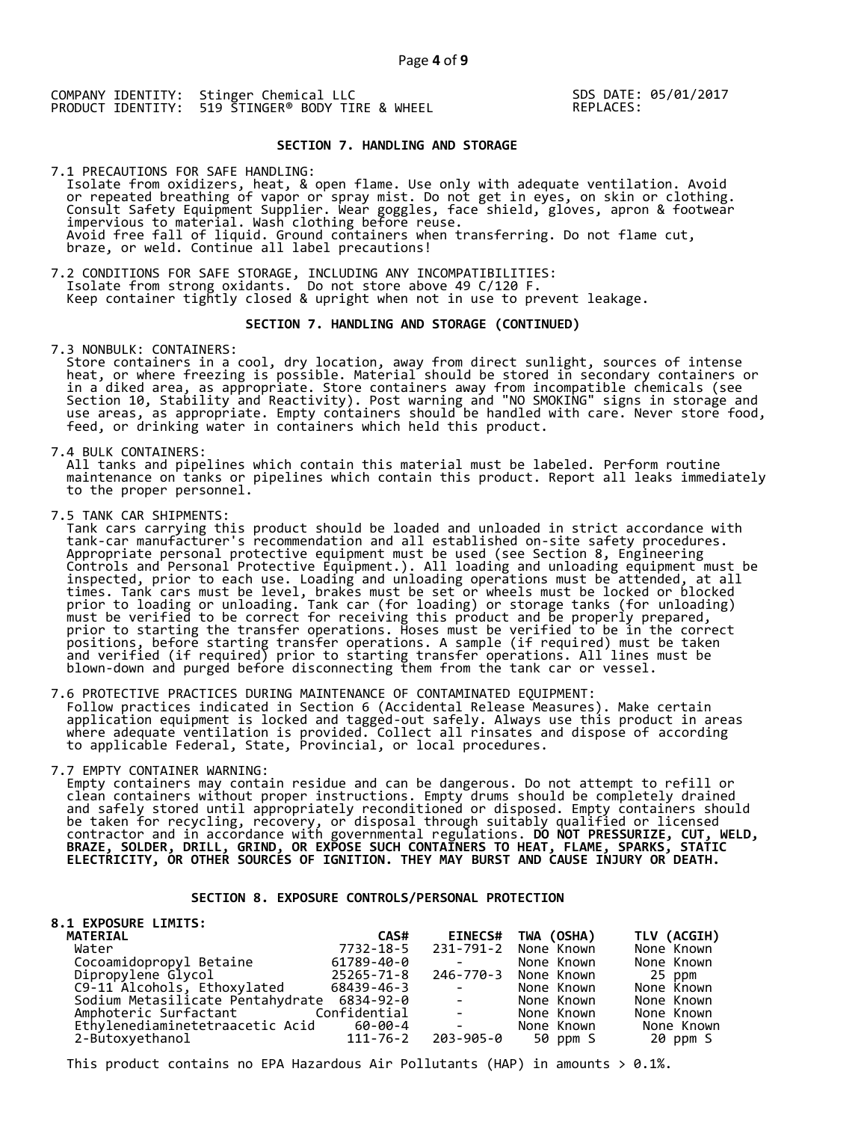SDS DATE: 05/01/2017 REPLACES:

## **SECTION 7. HANDLING AND STORAGE**

7.1 PRECAUTIONS FOR SAFE HANDLING: Isolate from oxidizers, heat, & open flame. Use only with adequate ventilation. Avoid or repeated breathing of vapor or spray mist. Do not get in eyes, on skin or clothing. Consult Safety Equipment Supplier. Wear goggles, face shield, gloves, apron & footwear impervious to material. Wash clothing before reuse. Avoid free fall of liquid. Ground containers when transferring. Do not flame cut, braze, or weld. Continue all label precautions!

7.2 CONDITIONS FOR SAFE STORAGE, INCLUDING ANY INCOMPATIBILITIES: Isolate from strong oxidants. Do not store above 49 C/120 F. Keep container tightly closed & upright when not in use to prevent leakage.

## **SECTION 7. HANDLING AND STORAGE (CONTINUED)**

7.3 NONBULK: CONTAINERS:

 Store containers in a cool, dry location, away from direct sunlight, sources of intense heat, or where freezing is possible. Material should be stored in secondary containers or in a diked area, as appropriate. Store containers away from incompatible chemicals (see Section 10, Stability and Reactivity). Post warning and "NO SMOKING" signs in storage and use areas, as appropriate. Empty containers should be handled with care. Never store food, feed, or drinking water in containers which held this product.

7.4 BULK CONTAINERS:

 All tanks and pipelines which contain this material must be labeled. Perform routine maintenance on tanks or pipelines which contain this product. Report all leaks immediately to the proper personnel.

7.5 TANK CAR SHIPMENTS:

 Tank cars carrying this product should be loaded and unloaded in strict accordance with tank-car manufacturer's recommendation and all established on-site safety procedures. Appropriate personal protective equipment must be used (see Section 8, Engineering Controls and Personal Protective Equipment.). All loading and unloading equipment must be inspected, prior to each use. Loading and unloading operations must be attended, at all times. Tank cars must be level, brakes must be set or wheels must be locked or blocked prior to loading or unloading. Tank car (for loading) or storage tanks (for unloading) must be verified to be correct for receiving this product and be properly prepared, prior to starting the transfer operations. Hoses must be verified to be in the correct positions, before starting transfer operations. A sample (if required) must be taken and verified (if required) prior to starting transfer operations. All lines must be blown-down and purged before disconnecting them from the tank car or vessel.

7.6 PROTECTIVE PRACTICES DURING MAINTENANCE OF CONTAMINATED EQUIPMENT: Follow practices indicated in Section 6 (Accidental Release Measures). Make certain application equipment is locked and tagged-out safely. Always use this product in areas where adequate ventilation is provided. Collect all rinsates and dispose of according to applicable Federal, State, Provincial, or local procedures.

7.7 EMPTY CONTAINER WARNING:

 Empty containers may contain residue and can be dangerous. Do not attempt to refill or clean containers without proper instructions. Empty drums should be completely drained and safely stored until appropriately reconditioned or disposed. Empty containers should be taken for recycling, recovery, or disposal through suitably qualified or licensed contractor and in accordance with governmental regulations. **DO NOT PRESSURIZE, CUT, WELD, BRAZE, SOLDER, DRILL, GRIND, OR EXPOSE SUCH CONTAINERS TO HEAT, FLAME, SPARKS, STATIC ELECTRICITY, OR OTHER SOURCES OF IGNITION. THEY MAY BURST AND CAUSE INJURY OR DEATH.**

### **SECTION 8. EXPOSURE CONTROLS/PERSONAL PROTECTION**

| <b>8.1 EXPOSURE LIMITS:</b>                |            |                                                                                            |                      |             |
|--------------------------------------------|------------|--------------------------------------------------------------------------------------------|----------------------|-------------|
| <b>MATERIAL</b>                            | CAS#       | <b>EINECS#</b>                                                                             | TWA (OSHA)           | TLV (ACGIH) |
| Water                                      | 7732-18-5  |                                                                                            | 231-791-2 None Known | None Known  |
| Cocoamidopropyl Betaine                    | 61789-40-0 | <b>Contract Contract</b>                                                                   | None Known           | None Known  |
| Dipropylene Glycol                         | 25265-71-8 |                                                                                            | 246-770-3 None Known | 25 ppm      |
| C9-11 Alcohols, Ethoxylated                | 68439-46-3 | $\mathcal{L} = \mathcal{L} \times \mathcal{L} = \mathcal{L} \times \mathcal{L}$            | None Known           | None Known  |
| Sodium Metasilicate Pentahydrate 6834-92-0 |            | <b>State State</b>                                                                         | None Known           | None Known  |
| Amphoteric Surfactant Confidential         |            | $\mathcal{L}(\mathcal{L})$ and $\mathcal{L}(\mathcal{L})$ . The $\mathcal{L}(\mathcal{L})$ | None Known           | None Known  |
| Ethylenediaminetetraacetic Acid 60-00-4    |            | <b>Contract Contract Contract</b>                                                          | None Known           | None Known  |
| 2-Butoxyethanol                            | 111-76-2   | 203-905-0                                                                                  | 50 ppm S             | 20 ppm S    |

This product contains no EPA Hazardous Air Pollutants (HAP) in amounts  $> 0.1\%$ .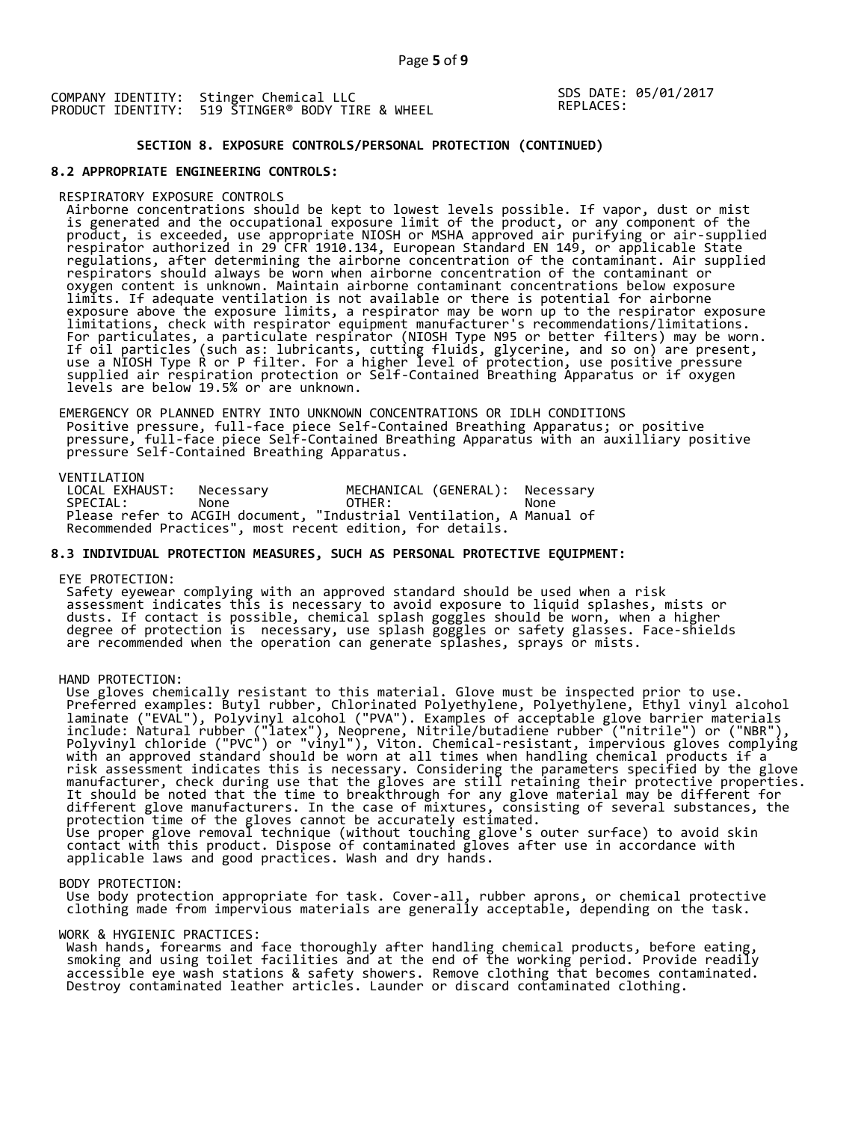SDS DATE: 05/01/2017 REPLACES:

## **SECTION 8. EXPOSURE CONTROLS/PERSONAL PROTECTION (CONTINUED)**

## **8.2 APPROPRIATE ENGINEERING CONTROLS:**

#### RESPIRATORY EXPOSURE CONTROLS

 Airborne concentrations should be kept to lowest levels possible. If vapor, dust or mist is generated and the occupational exposure limit of the product, or any component of the product, is exceeded, use appropriate NIOSH or MSHA approved air purifying or air-supplied respirator authorized in 29 CFR 1910.134, European Standard EN 149, or applicable State regulations, after determining the airborne concentration of the contaminant. Air supplied respirators should always be worn when airborne concentration of the contaminant or oxygen content is unknown. Maintain airborne contaminant concentrations below exposure limits. If adequate ventilation is not available or there is potential for airborne exposure above the exposure limits, a respirator may be worn up to the respirator exposure limitations, check with respirator equipment manufacturer's recommendations/limitations. For particulates, a particulate respirator (NIOSH Type N95 or better filters) may be worn. If oil particles (such as: lubricants, cutting fluids, glycerine, and so on) are present, use a NIOSH Type R or P filter. For a higher level of protection, use positive pressure supplied air respiration protection or Self-Contained Breathing Apparatus or if oxygen levels are below 19.5% or are unknown.

 EMERGENCY OR PLANNED ENTRY INTO UNKNOWN CONCENTRATIONS OR IDLH CONDITIONS Positive pressure, full-face piece Self-Contained Breathing Apparatus; or positive pressure, full-face piece Self-Contained Breathing Apparatus with an auxilliary positive pressure Self-Contained Breathing Apparatus.

VENTILATION<br>LOCAL EXHAUST: LOCAL EXHAUST: Necessary MECHANICAL (GENERAL): Necessary SPECIAL: None OTHER: None Please refer to ACGIH document, "Industrial Ventilation, A Manual of Recommended Practices", most recent edition, for details.

## **8.3 INDIVIDUAL PROTECTION MEASURES, SUCH AS PERSONAL PROTECTIVE EQUIPMENT:**

#### EYE PROTECTION:

 Safety eyewear complying with an approved standard should be used when a risk assessment indicates this is necessary to avoid exposure to liquid splashes, mists or dusts. If contact is possible, chemical splash goggles should be worn, when a higher degree of protection is necessary, use splash goggles or safety glasses. Face-shields are recommended when the operation can generate splashes, sprays or mists.

#### HAND PROTECTION:

 Use gloves chemically resistant to this material. Glove must be inspected prior to use. Preferred examples: Butyl rubber, Chlorinated Polyethylene, Polyethylene, Ethyl vinyl alcohol laminate ("EVAL"), Polyvinyl alcohol ("PVA"). Examples of acceptable glove barrier materials include: Natural rubber ("latex"), Neoprene, Nitrile/butadiene rubber ("nitrile") or ("NBR"), Polyvinyl chloride ("PVC") or "vinyl"), Viton. Chemical-resistant, impervious gloves complying with an approved standard should be worn at all times when handling chemical products if a risk assessment indicates this is necessary. Considering the parameters specified by the glove manufacturer, check during use that the gloves are still retaining their protective properties. It should be noted that the time to breakthrough for any glove material may be different for different glove manufacturers. In the case of mixtures, consisting of several substances, the protection time of the gloves cannot be accurately estimated. Use proper glove removal technique (without touching glove's outer surface) to avoid skin contact with this product. Dispose of contaminated gloves after use in accordance with applicable laws and good practices. Wash and dry hands.

#### BODY PROTECTION:

 Use body protection appropriate for task. Cover-all, rubber aprons, or chemical protective clothing made from impervious materials are generally acceptable, depending on the task.

#### WORK & HYGIENIC PRACTICES:

 Wash hands, forearms and face thoroughly after handling chemical products, before eating, smoking and using toilet facilities and at the end of the working period. Provide readily accessible eye wash stations & safety showers. Remove clothing that becomes contaminated. Destroy contaminated leather articles. Launder or discard contaminated clothing.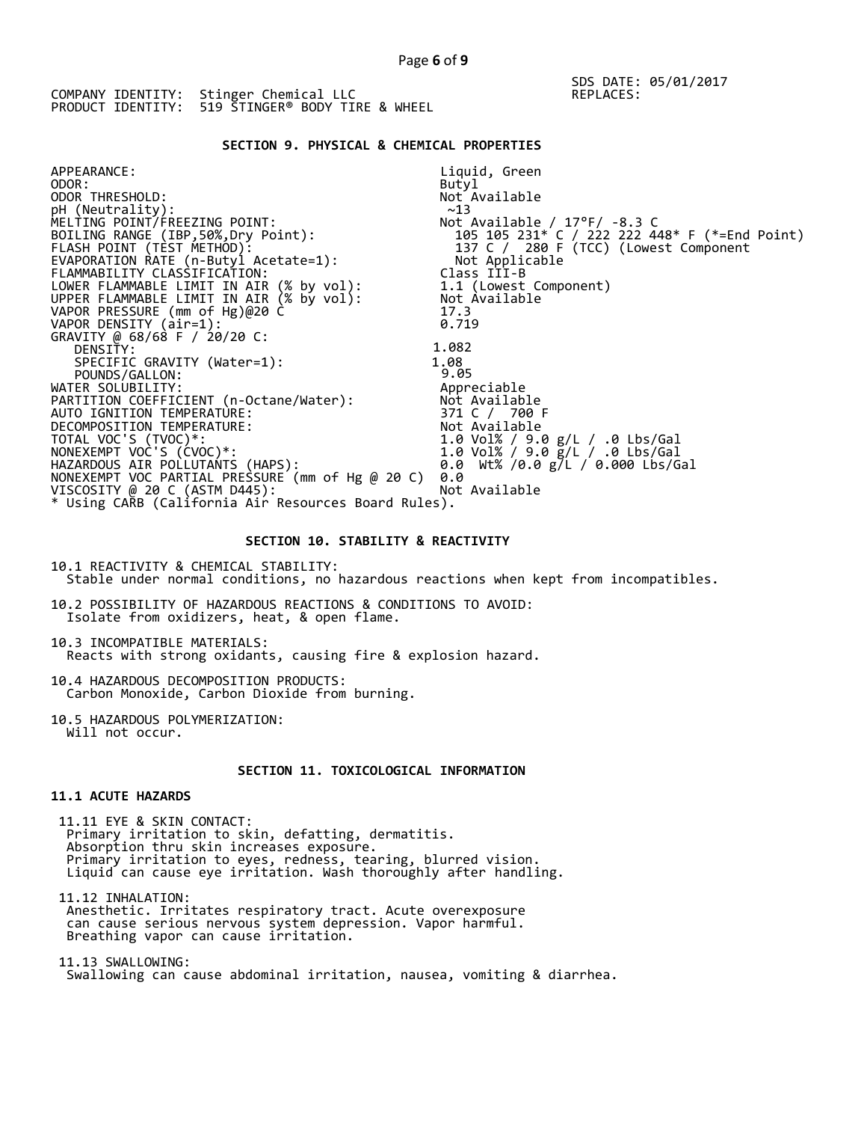## SDS DATE: 05/01/2017 REPLACES:

# **SECTION 9. PHYSICAL & CHEMICAL PROPERTIES**

| APPEARANCE:                                                                          | Liquid, Green                                 |
|--------------------------------------------------------------------------------------|-----------------------------------------------|
| ODOR:                                                                                | Butyl                                         |
| ODOR THRESHOLD:                                                                      | Not Available                                 |
| pH (Neutrality):                                                                     | ~13                                           |
| MELTING POINT/FREEZING POINT:                                                        | Not Available / $17^{\circ}$ F/ -8.3 C        |
| BOILING RANGE (IBP,50%,Dry Point):                                                   | 105 105 231* C / 222 222 448* F (*=End Point) |
| FLASH POINT (TÈST METHOD):                                                           | 137 C / 280 F (TCC) (Lowest Component         |
| EVAPORATION RATE (n-Butyl Acetate=1):                                                | Not Applicable                                |
| FLAMMABILITY CLASSIFICATION:                                                         | Class III-B                                   |
|                                                                                      | 1.1 (Lowest Component)                        |
| LOWER FLAMMABLE LIMIT IN AIR (% by vol):<br>UPPER FLAMMABLE LIMIT IN AIR (% by vol): | Not Available                                 |
| VAPOR PRESSURE (mm of Hg)@20 C                                                       | 17.3                                          |
| VAPOR DENSITY (air=1):                                                               | 0.719                                         |
| GRAVITY @ 68/68 F / 20/20 C:                                                         |                                               |
| DENSITY:                                                                             | 1.082                                         |
| SPECIFIC GRAVITY (Water=1):                                                          | 1.08                                          |
| POUNDS/GALLON:                                                                       | 9.05                                          |
| WATER SOLUBILITY:                                                                    | Appreciable                                   |
| PARTITION COEFFICIENT (n-Octane/Water):                                              | Not Available                                 |
| AUTO IGNITION TEMPERATURE:                                                           | 371 C / 700 F                                 |
| DECOMPOSITION TEMPERATURE:                                                           | Not Available                                 |
| TOTAL VOC'S (TVOC)*:                                                                 | 1.0 Vol% / 9.0 g/L / .0 Lbs/Gal               |
| NONEXEMPT VOC'S (ĆVOC)*:                                                             | 1.0 Vol% / 9.0 g/L / .0 Lbs/Gal               |
| HAZARDOUS AIR POLLUTAŃTS (HAPS):                                                     | 0.0 Wt% /0.0 g/L / 0.000 Lbs/Gal              |
| NONEXEMPT VOC PARTIAL PRESSURE (mm of Hg @ 20 C)                                     | 0.0                                           |
| VISCOSITY @ 20 C (ASTM D445):                                                        | Not Available                                 |
| * Using CARB (California Air Resources Board Rules).                                 |                                               |

## **SECTION 10. STABILITY & REACTIVITY**

10.1 REACTIVITY & CHEMICAL STABILITY: Stable under normal conditions, no hazardous reactions when kept from incompatibles.

10.2 POSSIBILITY OF HAZARDOUS REACTIONS & CONDITIONS TO AVOID: Isolate from oxidizers, heat, & open flame.

10.3 INCOMPATIBLE MATERIALS: Reacts with strong oxidants, causing fire & explosion hazard.

10.4 HAZARDOUS DECOMPOSITION PRODUCTS: Carbon Monoxide, Carbon Dioxide from burning.

10.5 HAZARDOUS POLYMERIZATION: Will not occur.

# **SECTION 11. TOXICOLOGICAL INFORMATION**

## **11.1 ACUTE HAZARDS**

 11.11 EYE & SKIN CONTACT: Primary irritation to skin, defatting, dermatitis. Absorption thru skin increases exposure. Primary irritation to eyes, redness, tearing, blurred vision. Liquid can cause eye irritation. Wash thoroughly after handling.

 11.12 INHALATION: Anesthetic. Irritates respiratory tract. Acute overexposure can cause serious nervous system depression. Vapor harmful. Breathing vapor can cause irritation.

 11.13 SWALLOWING: Swallowing can cause abdominal irritation, nausea, vomiting & diarrhea.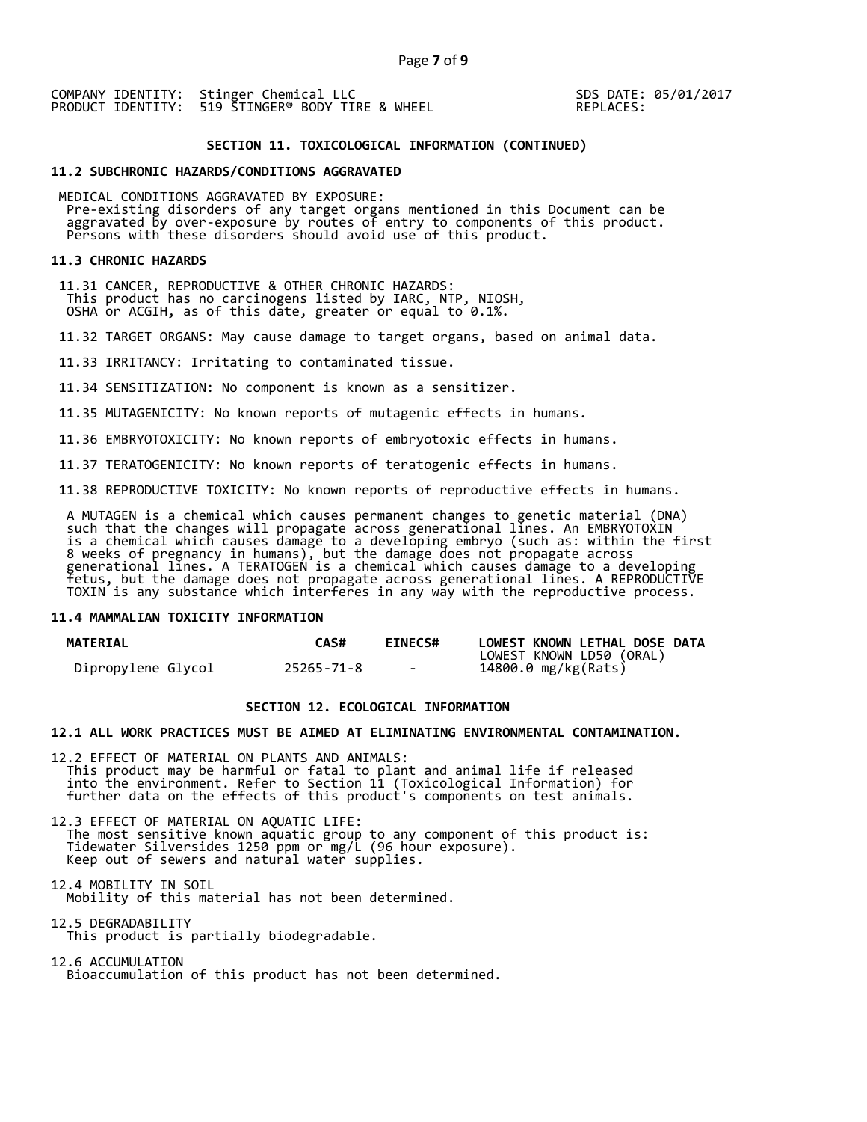SDS DATE: 05/01/2017 REPLACES:

## **SECTION 11. TOXICOLOGICAL INFORMATION (CONTINUED)**

#### **11.2 SUBCHRONIC HAZARDS/CONDITIONS AGGRAVATED**

 MEDICAL CONDITIONS AGGRAVATED BY EXPOSURE: Pre-existing disorders of any target organs mentioned in this Document can be aggravated by over-exposure by routes of entry to components of this product. aggravaced by over exposare by roaces of enery to components of persons with these disorders should avoid use of this product.

#### **11.3 CHRONIC HAZARDS**

 11.31 CANCER, REPRODUCTIVE & OTHER CHRONIC HAZARDS: This product has no carcinogens listed by IARC, NTP, NIOSH, OSHA or ACGIH, as of this date, greater or equal to 0.1%.

11.32 TARGET ORGANS: May cause damage to target organs, based on animal data.

11.33 IRRITANCY: Irritating to contaminated tissue.

11.34 SENSITIZATION: No component is known as a sensitizer.

11.35 MUTAGENICITY: No known reports of mutagenic effects in humans.

11.36 EMBRYOTOXICITY: No known reports of embryotoxic effects in humans.

11.37 TERATOGENICITY: No known reports of teratogenic effects in humans.

11.38 REPRODUCTIVE TOXICITY: No known reports of reproductive effects in humans.

 A MUTAGEN is a chemical which causes permanent changes to genetic material (DNA) such that the changes will propagate across generational lines. An EMBRYOTOXIN is a chemical which causes damage to a developing embryo (such as: within the first 8 weeks of pregnancy in humans), but the damage does not propagate across generational lines. A TERATOGEN is a chemical which causes damage to a developing fetus, but the damage does not propagate across generational lines. A REPRODUCTIVE TOXIN is any substance which interferes in any way with the reproductive process.

### **11.4 MAMMALIAN TOXICITY INFORMATION**

| <b>MATERIAL</b>    | <b>CAS#</b> | <b>EINECS#</b> | LOWEST KNOWN LETHAL DOSE DATA |
|--------------------|-------------|----------------|-------------------------------|
|                    |             |                | LOWEST KNOWN LD50 (ORAL)      |
| Dipropylene Glycol | 25265-71-8  | $\sim$         | 14800.0 mg/kg(Rats)           |

## **SECTION 12. ECOLOGICAL INFORMATION**

#### **12.1 ALL WORK PRACTICES MUST BE AIMED AT ELIMINATING ENVIRONMENTAL CONTAMINATION.**

12.2 EFFECT OF MATERIAL ON PLANTS AND ANIMALS: This product may be harmful or fatal to plant and animal life if released into the environment. Refer to Section 11 (Toxicological Information) for further data on the effects of this product's components on test animals.

12.3 EFFECT OF MATERIAL ON AQUATIC LIFE: The most sensitive known aquatic group to any component of this product is: Tidewater Silversides 1250 ppm or mg/L (96 hour exposure). Keep out of sewers and natural water supplies.

12.4 MOBILITY IN SOIL Mobility of this material has not been determined.

12.5 DEGRADABILITY This product is partially biodegradable.

12.6 ACCUMULATION Bioaccumulation of this product has not been determined.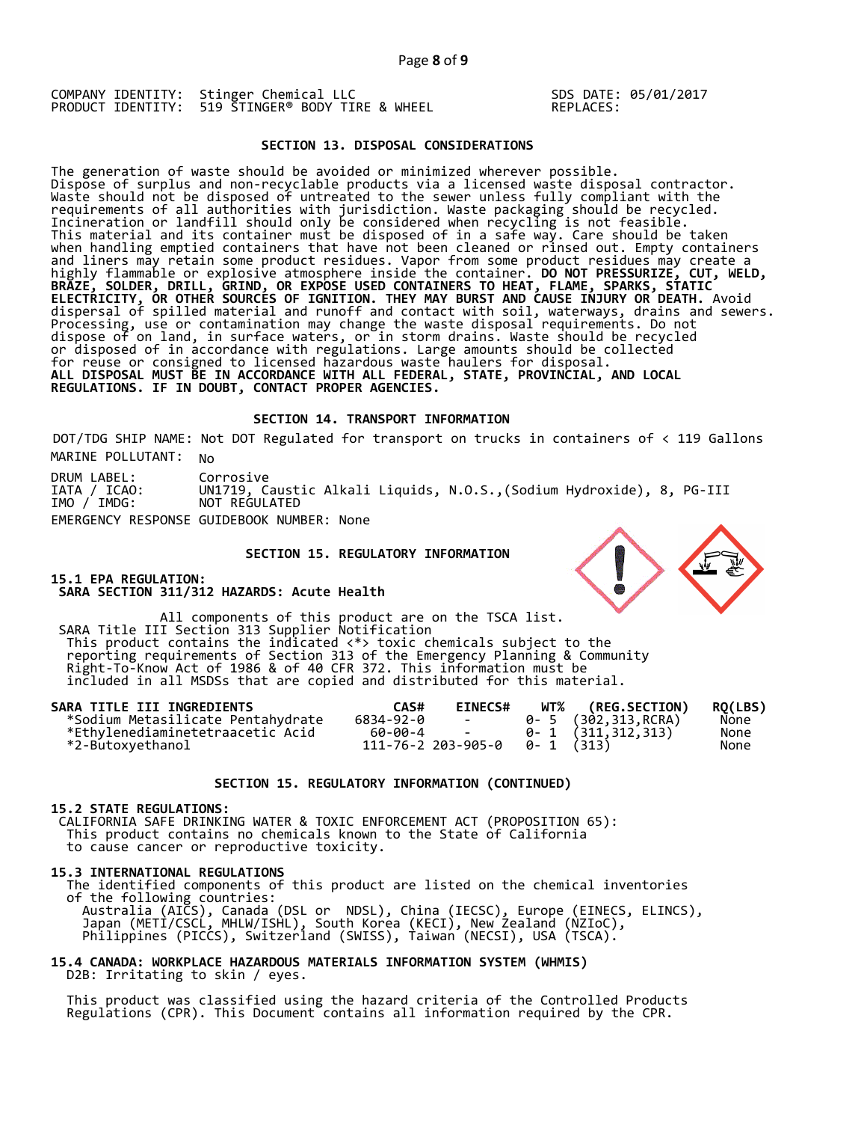SDS DATE: 05/01/2017 REPLACES:

## **SECTION 13. DISPOSAL CONSIDERATIONS**

The generation of waste should be avoided or minimized wherever possible. Dispose of surplus and non-recyclable products via a licensed waste disposal contractor. Waste should not be disposed of untreated to the sewer unless fully compliant with the requirements of all authorities with jurisdiction. Waste packaging should be recycled. Incineration or landfill should only be considered when recycling is not feasible. This material and its container must be disposed of in a safe way. Care should be taken when handling emptied containers that have not been cleaned or rinsed out. Empty containers and liners may retain some product residues. Vapor from some product residues may create a highly flammable or explosive atmosphere inside the container. **DO NOT PRESSURIZE, CUT, WELD, BRAZE, SOLDER, DRILL, GRIND, OR EXPOSE USED CONTAINERS TO HEAT, FLAME, SPARKS, STATIC ELECTRICITY, OR OTHER SOURCES OF IGNITION. THEY MAY BURST AND CAUSE INJURY OR DEATH.** Avoid dispersal of spilled material and runoff and contact with soil, waterways, drains and sewers. Processing, use or contamination may change the waste disposal requirements. Do not dispose of on land, in surface waters, or in storm drains. Waste should be recycled or disposed of in accordance with regulations. Large amounts should be collected for reuse or consigned to licensed hazardous waste haulers for disposal. **ALL DISPOSAL MUST BE IN ACCORDANCE WITH ALL FEDERAL, STATE, PROVINCIAL, AND LOCAL REGULATIONS. IF IN DOUBT, CONTACT PROPER AGENCIES.** 

#### **SECTION 14. TRANSPORT INFORMATION**

MARINE POLLUTANT: No DOT/TDG SHIP NAME: Not DOT Regulated for transport on trucks in containers of < 119 Gallons

DRUM LABEL: IATA / ICAO: IMO / IMDG: Corrosive UN1719, Caustic Alkali Liquids, N.O.S.,(Sodium Hydroxide), 8, PG-III NOT REGULATED EMERGENCY RESPONSE GUIDEBOOK NUMBER: None

#### **SECTION 15. REGULATORY INFORMATION**

**15.1 EPA REGULATION: SARA SECTION 311/312 HAZARDS: Acute Health** 

All components of this product are on the TSCA list. SARA Title III Section 313 Supplier Notification This product contains the indicated <\*> toxic chemicals subject to the reporting requirements of Section 313 of the Emergency Planning & Community Right-To-Know Act of 1986 & of 40 CFR 372. This information must be included in all MSDSs that are copied and distributed for this material.

| SARA TITLE III INGREDIENTS        | CAS#      | <b>EINECS#</b>                        | WT% (REG.SECTION)         | RO(LBS) |
|-----------------------------------|-----------|---------------------------------------|---------------------------|---------|
| *Sodium Metasilicate Pentahydrate | 6834-92-0 | <b>Contract Contract</b>              | 0- 5 (302,313,RCRA)       | None    |
| *Ethvlenediaminetetraacetic Acid  | 60-00-4 - |                                       | $0 - 1$ $(311, 312, 313)$ | None    |
| *2-Butoxyethanol                  |           | $111 - 76 - 2203 - 905 - 0$ 0-1 (313) |                           | None    |

#### **SECTION 15. REGULATORY INFORMATION (CONTINUED)**

#### **15.2 STATE REGULATIONS:**

 CALIFORNIA SAFE DRINKING WATER & TOXIC ENFORCEMENT ACT (PROPOSITION 65): This product contains no chemicals known to the State of California to cause cancer or reproductive toxicity.

#### **15.3 INTERNATIONAL REGULATIONS**

 The identified components of this product are listed on the chemical inventories of the following countries: Australia (AICS), Canada (DSL or NDSL), China (IECSC), Europe (EINECS, ELINCS), Japan (METI/CSCL, MHLW/ISHL), South Korea (KECI), New Zealand (NZIoC), Philippines (PICCS), Switzerland (SWISS), Taiwan (NECSI), USA (TSCA).

## **15.4 CANADA: WORKPLACE HAZARDOUS MATERIALS INFORMATION SYSTEM (WHMIS)**  D2B: Irritating to skin / eyes.

 This product was classified using the hazard criteria of the Controlled Products Regulations (CPR). This Document contains all information required by the CPR.